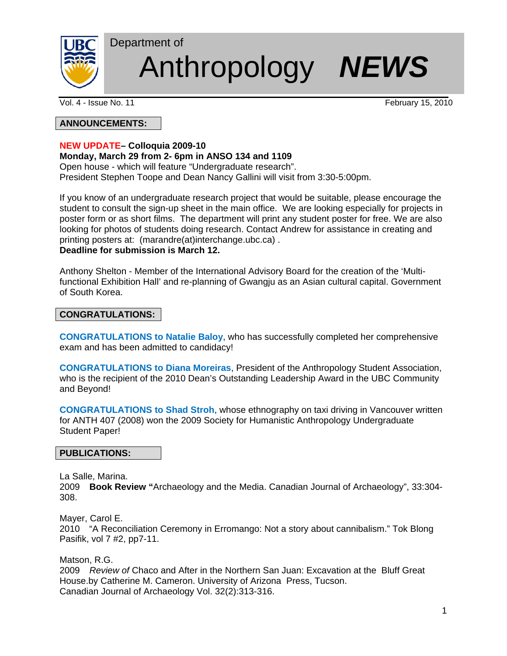

# Department of Anthropology *NEWS*

Vol. 4 - Issue No. 11 **February 15, 2010** 

# **ANNOUNCEMENTS:**

# **NEW UPDATE– Colloquia 2009-10**

# **Monday, March 29 from 2- 6pm in ANSO 134 and 1109**

Open house - which will feature "Undergraduate research". President Stephen Toope and Dean Nancy Gallini will visit from 3:30-5:00pm.

If you know of an undergraduate research project that would be suitable, please encourage the student to consult the sign-up sheet in the main office. We are looking especially for projects in poster form or as short films. The department will print any student poster for free. We are also looking for photos of students doing research. Contact Andrew for assistance in creating and printing posters at: (marandre(at)interchange.ubc.ca) .

# **Deadline for submission is March 12.**

Anthony Shelton - Member of the International Advisory Board for the creation of the 'Multifunctional Exhibition Hall' and re-planning of Gwangju as an Asian cultural capital. Government of South Korea.

# **CONGRATULATIONS:**

**CONGRATULATIONS to Natalie Baloy**, who has successfully completed her comprehensive exam and has been admitted to candidacy!

**CONGRATULATIONS to Diana Moreiras**, President of the Anthropology Student Association, who is the recipient of the 2010 Dean's Outstanding Leadership Award in the UBC Community and Beyond!

**CONGRATULATIONS to Shad Stroh**, whose ethnography on taxi driving in Vancouver written for ANTH 407 (2008) won the 2009 Society for Humanistic Anthropology Undergraduate Student Paper!

#### **PUBLICATIONS:**

La Salle, Marina.

2009 **Book Review "**Archaeology and the Media. Canadian Journal of Archaeology", 33:304- 308.

Mayer, Carol E.

2010 "A Reconciliation Ceremony in Erromango: Not a story about cannibalism." Tok Blong Pasifik, vol 7 #2, pp7-11.

Matson, R.G.

2009 *Review of* Chaco and After in the Northern San Juan: Excavation at the Bluff Great House.by Catherine M. Cameron. University of Arizona Press, Tucson. Canadian Journal of Archaeology Vol. 32(2):313-316.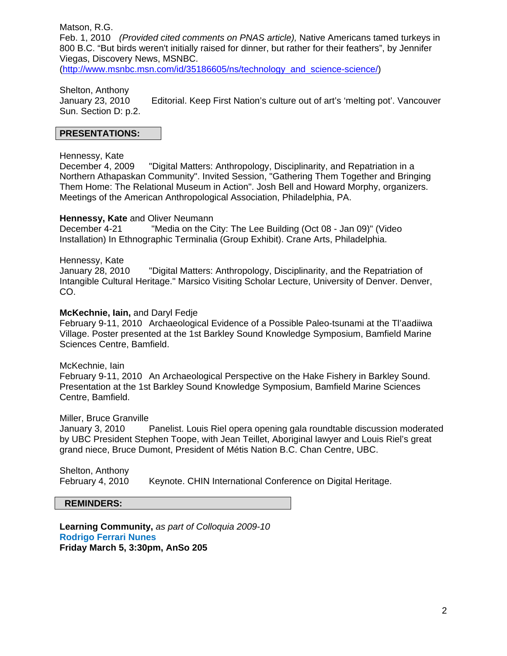Matson, R.G.

Feb. 1, 2010 *(Provided cited comments on PNAS article),* Native Americans tamed turkeys in 800 B.C. "But birds weren't initially raised for dinner, but rather for their feathers", by Jennifer Viegas, Discovery News, MSNBC.

(http://www.msnbc.msn.com/id/35186605/ns/technology\_and\_science-science/)

Shelton, Anthony

January 23, 2010 Editorial. Keep First Nation's culture out of art's 'melting pot'. Vancouver Sun. Section D: p.2.

#### **PRESENTATIONS:**

#### Hennessy, Kate

December 4, 2009 "Digital Matters: Anthropology, Disciplinarity, and Repatriation in a Northern Athapaskan Community". Invited Session, "Gathering Them Together and Bringing Them Home: The Relational Museum in Action". Josh Bell and Howard Morphy, organizers. Meetings of the American Anthropological Association, Philadelphia, PA.

#### **Hennessy, Kate** and Oliver Neumann

December 4-21 "Media on the City: The Lee Building (Oct 08 - Jan 09)" (Video Installation) In Ethnographic Terminalia (Group Exhibit). Crane Arts, Philadelphia.

#### Hennessy, Kate

January 28, 2010 "Digital Matters: Anthropology, Disciplinarity, and the Repatriation of Intangible Cultural Heritage." Marsico Visiting Scholar Lecture, University of Denver. Denver, CO.

#### **McKechnie, Iain,** and Daryl Fedje

February 9-11, 2010 Archaeological Evidence of a Possible Paleo-tsunami at the Tl'aadiiwa Village. Poster presented at the 1st Barkley Sound Knowledge Symposium, Bamfield Marine Sciences Centre, Bamfield.

McKechnie, Iain February 9-11, 2010 An Archaeological Perspective on the Hake Fishery in Barkley Sound. Presentation at the 1st Barkley Sound Knowledge Symposium, Bamfield Marine Sciences Centre, Bamfield.

#### Miller, Bruce Granville

January 3, 2010 Panelist. Louis Riel opera opening gala roundtable discussion moderated by UBC President Stephen Toope, with Jean Teillet, Aboriginal lawyer and Louis Riel's great grand niece, Bruce Dumont, President of Métis Nation B.C. Chan Centre, UBC.

Shelton, Anthony February 4, 2010 Keynote. CHIN International Conference on Digital Heritage.

#### **REMINDERS:**

**Learning Community,** *as part of Colloquia 2009-10*  **Rodrigo Ferrari Nunes Friday March 5, 3:30pm, AnSo 205**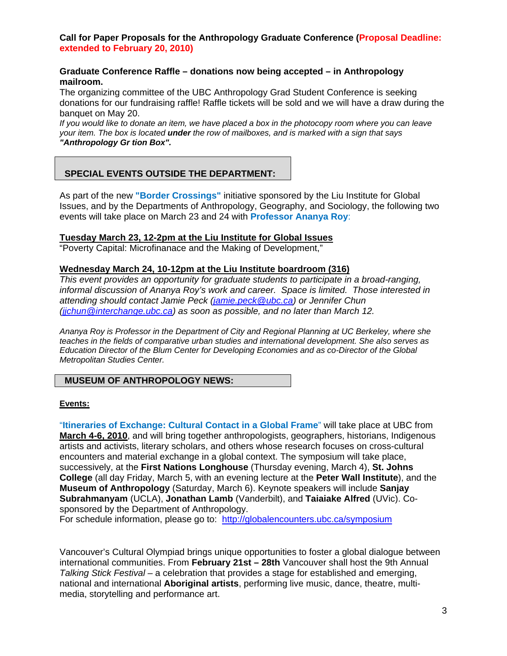## **Call for Paper Proposals for the Anthropology Graduate Conference (Proposal Deadline: extended to February 20, 2010)**

## **Graduate Conference Raffle – donations now being accepted – in Anthropology mailroom.**

The organizing committee of the UBC Anthropology Grad Student Conference is seeking donations for our fundraising raffle! Raffle tickets will be sold and we will have a draw during the banquet on May 20.

*If you would like to donate an item, we have placed a box in the photocopy room where you can leave your item. The box is located under the row of mailboxes, and is marked with a sign that says "Anthropology Gr tion Box".* 

# **SPECIAL EVENTS OUTSIDE THE DEPARTMENT:**

As part of the new **"Border Crossings"** initiative sponsored by the Liu Institute for Global Issues, and by the Departments of Anthropology, Geography, and Sociology, the following two events will take place on March 23 and 24 with **Professor Ananya Roy**:

## **Tuesday March 23, 12-2pm at the Liu Institute for Global Issues**

"Poverty Capital: Microfinanace and the Making of Development,"

#### **Wednesday March 24, 10-12pm at the Liu Institute boardroom (316)**

*This event provides an opportunity for graduate students to participate in a broad-ranging, informal discussion of Ananya Roy's work and career. Space is limited. Those interested in attending should contact Jamie Peck (jamie.peck@ubc.ca) or Jennifer Chun (jjchun@interchange.ubc.ca) as soon as possible, and no later than March 12.*

*Ananya Roy is Professor in the Department of City and Regional Planning at UC Berkeley, where she teaches in the fields of comparative urban studies and international development. She also serves as Education Director of the Blum Center for Developing Economies and as co-Director of the Global Metropolitan Studies Center.* 

# **MUSEUM OF ANTHROPOLOGY NEWS:**

#### **Events:**

"**Itineraries of Exchange: Cultural Contact in a Global Frame**" will take place at UBC from **March 4-6, 2010**, and will bring together anthropologists, geographers, historians, Indigenous artists and activists, literary scholars, and others whose research focuses on cross-cultural encounters and material exchange in a global context. The symposium will take place, successively, at the **First Nations Longhouse** (Thursday evening, March 4), **St. Johns College** (all day Friday, March 5, with an evening lecture at the **Peter Wall Institute**), and the **Museum of Anthropology** (Saturday, March 6). Keynote speakers will include **Sanjay Subrahmanyam** (UCLA), **Jonathan Lamb** (Vanderbilt), and **Taiaiake Alfred** (UVic). Cosponsored by the Department of Anthropology.

For schedule information, please go to: http://globalencounters.ubc.ca/symposium

Vancouver's Cultural Olympiad brings unique opportunities to foster a global dialogue between international communities. From **February 21st – 28th** Vancouver shall host the 9th Annual *Talking Stick Festival* – a celebration that provides a stage for established and emerging, national and international **Aboriginal artists**, performing live music, dance, theatre, multimedia, storytelling and performance art.